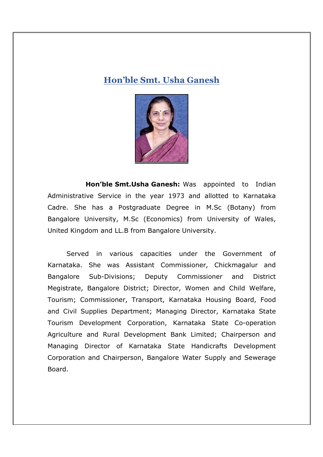## **Hon'ble Smt. Usha Ganesh**



 **Hon'ble Smt.Usha Ganesh:** Was appointed to Indian Administrative Service in the year 1973 and allotted to Karnataka Cadre. She has a Postgraduate Degree in M.Sc (Botany) from Bangalore University, M.Sc (Economics) from University of Wales, United Kingdom and LL.B from Bangalore University.

 Served in various capacities under the Government of Karnataka. She was Assistant Commissioner, Chickmagalur and Bangalore Sub-Divisions; Deputy Commissioner and District Megistrate, Bangalore District; Director, Women and Child Welfare, Tourism; Commissioner, Transport, Karnataka Housing Board, Food and Civil Supplies Department; Managing Director, Karnataka State Tourism Development Corporation, Karnataka State Co-operation Agriculture and Rural Development Bank Limited; Chairperson and Managing Director of Karnataka State Handicrafts Development Corporation and Chairperson, Bangalore Water Supply and Sewerage Board.